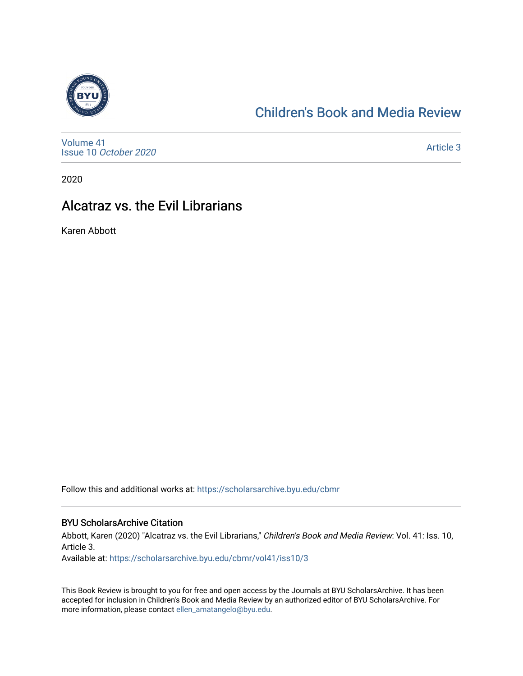

## [Children's Book and Media Review](https://scholarsarchive.byu.edu/cbmr)

[Volume 41](https://scholarsarchive.byu.edu/cbmr/vol41) Issue 10 [October 2020](https://scholarsarchive.byu.edu/cbmr/vol41/iss10)

[Article 3](https://scholarsarchive.byu.edu/cbmr/vol41/iss10/3) 

2020

## Alcatraz vs. the Evil Librarians

Karen Abbott

Follow this and additional works at: [https://scholarsarchive.byu.edu/cbmr](https://scholarsarchive.byu.edu/cbmr?utm_source=scholarsarchive.byu.edu%2Fcbmr%2Fvol41%2Fiss10%2F3&utm_medium=PDF&utm_campaign=PDFCoverPages) 

#### BYU ScholarsArchive Citation

Abbott, Karen (2020) "Alcatraz vs. the Evil Librarians," Children's Book and Media Review: Vol. 41: Iss. 10, Article 3.

Available at: [https://scholarsarchive.byu.edu/cbmr/vol41/iss10/3](https://scholarsarchive.byu.edu/cbmr/vol41/iss10/3?utm_source=scholarsarchive.byu.edu%2Fcbmr%2Fvol41%2Fiss10%2F3&utm_medium=PDF&utm_campaign=PDFCoverPages)

This Book Review is brought to you for free and open access by the Journals at BYU ScholarsArchive. It has been accepted for inclusion in Children's Book and Media Review by an authorized editor of BYU ScholarsArchive. For more information, please contact [ellen\\_amatangelo@byu.edu.](mailto:ellen_amatangelo@byu.edu)